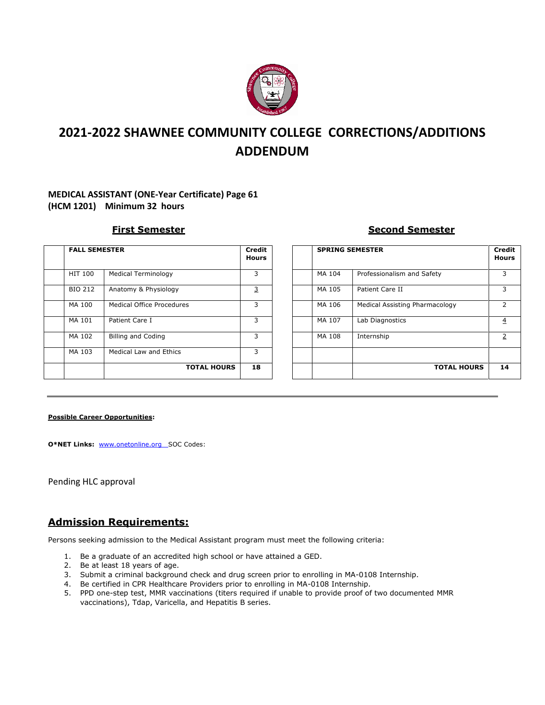

# **2021-2022 SHAWNEE COMMUNITY COLLEGE CORRECTIONS/ADDITIONS ADDENDUM**

#### **MEDICAL ASSISTANT (ONE-Year Certificate) Page 61 (HCM 1201) Minimum 32 hours**

| <b>FALL SEMESTER</b> |                            | <b>Credit</b><br><b>Hours</b> |
|----------------------|----------------------------|-------------------------------|
| <b>HIT 100</b>       | <b>Medical Terminology</b> | 3                             |
| <b>BIO 212</b>       | Anatomy & Physiology       | 3                             |
| MA 100               | Medical Office Procedures  | 3                             |
| MA 101               | Patient Care I             | 3                             |
| MA 102               | <b>Billing and Coding</b>  | 3                             |
| MA 103               | Medical Law and Ethics     | 3                             |
|                      | <b>TOTAL HOURS</b>         | 18                            |

#### **First Semester Second Semester**

| <b>FALL SEMESTER</b> |                                  | Credit<br><b>Hours</b> | <b>SPRING SEMESTER</b> |                                | <b>Credit</b><br><b>Hours</b> |
|----------------------|----------------------------------|------------------------|------------------------|--------------------------------|-------------------------------|
| HIT 100              | <b>Medical Terminology</b>       | 3                      | MA 104                 | Professionalism and Safety     | 3                             |
| <b>BIO 212</b>       | Anatomy & Physiology             | 3                      | MA 105                 | Patient Care II                |                               |
| MA 100               | <b>Medical Office Procedures</b> | 3                      | MA 106                 | Medical Assisting Pharmacology | 2                             |
| MA 101               | Patient Care I                   | 3                      | MA 107                 | Lab Diagnostics                | $\overline{4}$                |
| MA 102               | <b>Billing and Coding</b>        | 3                      | MA 108                 | Internship                     | 2                             |
| MA 103               | <b>Medical Law and Ethics</b>    | 3                      |                        |                                |                               |
|                      | <b>TOTAL HOURS</b>               | 18                     |                        | <b>TOTAL HOURS</b>             | 14                            |

#### **Possible Career Opportunities:**

**O\*NET Links:** [www.onetonline.org](http://www.onetonline.org/) SOC Codes:

Pending HLC approval

### **Admission Requirements:**

Persons seeking admission to the Medical Assistant program must meet the following criteria:

- 1. Be a graduate of an accredited high school or have attained a GED.
- 2. Be at least 18 years of age.
- 3. Submit a criminal background check and drug screen prior to enrolling in MA-0108 Internship.
- 4. Be certified in CPR Healthcare Providers prior to enrolling in MA-0108 Internship.
- 5. PPD one-step test, MMR vaccinations (titers required if unable to provide proof of two documented MMR vaccinations), Tdap, Varicella, and Hepatitis B series.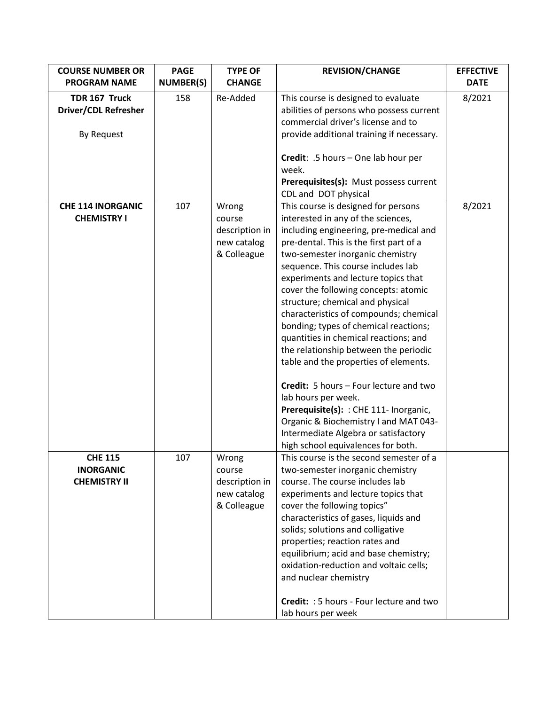| <b>COURSE NUMBER OR</b><br><b>PROGRAM NAME</b>             | <b>PAGE</b><br><b>NUMBER(S)</b> | <b>TYPE OF</b><br><b>CHANGE</b>                                 | <b>REVISION/CHANGE</b>                                                                                                                                                                                                                                                                                                                                                                                                                                                                                                                                                                                                                                                                                                                                                                                      | <b>EFFECTIVE</b><br><b>DATE</b> |
|------------------------------------------------------------|---------------------------------|-----------------------------------------------------------------|-------------------------------------------------------------------------------------------------------------------------------------------------------------------------------------------------------------------------------------------------------------------------------------------------------------------------------------------------------------------------------------------------------------------------------------------------------------------------------------------------------------------------------------------------------------------------------------------------------------------------------------------------------------------------------------------------------------------------------------------------------------------------------------------------------------|---------------------------------|
| TDR 167 Truck<br><b>Driver/CDL Refresher</b><br>By Request | 158                             | Re-Added                                                        | This course is designed to evaluate<br>abilities of persons who possess current<br>commercial driver's license and to<br>provide additional training if necessary.<br>Credit: .5 hours - One lab hour per                                                                                                                                                                                                                                                                                                                                                                                                                                                                                                                                                                                                   | 8/2021                          |
|                                                            |                                 |                                                                 | week.<br>Prerequisites(s): Must possess current<br>CDL and DOT physical                                                                                                                                                                                                                                                                                                                                                                                                                                                                                                                                                                                                                                                                                                                                     |                                 |
| <b>CHE 114 INORGANIC</b><br><b>CHEMISTRY I</b>             | 107                             | Wrong<br>course<br>description in<br>new catalog<br>& Colleague | This course is designed for persons<br>interested in any of the sciences,<br>including engineering, pre-medical and<br>pre-dental. This is the first part of a<br>two-semester inorganic chemistry<br>sequence. This course includes lab<br>experiments and lecture topics that<br>cover the following concepts: atomic<br>structure; chemical and physical<br>characteristics of compounds; chemical<br>bonding; types of chemical reactions;<br>quantities in chemical reactions; and<br>the relationship between the periodic<br>table and the properties of elements.<br>Credit: 5 hours - Four lecture and two<br>lab hours per week.<br>Prerequisite(s): : CHE 111- Inorganic,<br>Organic & Biochemistry I and MAT 043-<br>Intermediate Algebra or satisfactory<br>high school equivalences for both. | 8/2021                          |
| <b>CHE 115</b><br><b>INORGANIC</b><br><b>CHEMISTRY II</b>  | 107                             | Wrong<br>course<br>description in<br>new catalog<br>& Colleague | This course is the second semester of a<br>two-semester inorganic chemistry<br>course. The course includes lab<br>experiments and lecture topics that<br>cover the following topics"<br>characteristics of gases, liquids and<br>solids; solutions and colligative<br>properties; reaction rates and<br>equilibrium; acid and base chemistry;<br>oxidation-reduction and voltaic cells;<br>and nuclear chemistry<br><b>Credit:</b> : 5 hours - Four lecture and two<br>lab hours per week                                                                                                                                                                                                                                                                                                                   |                                 |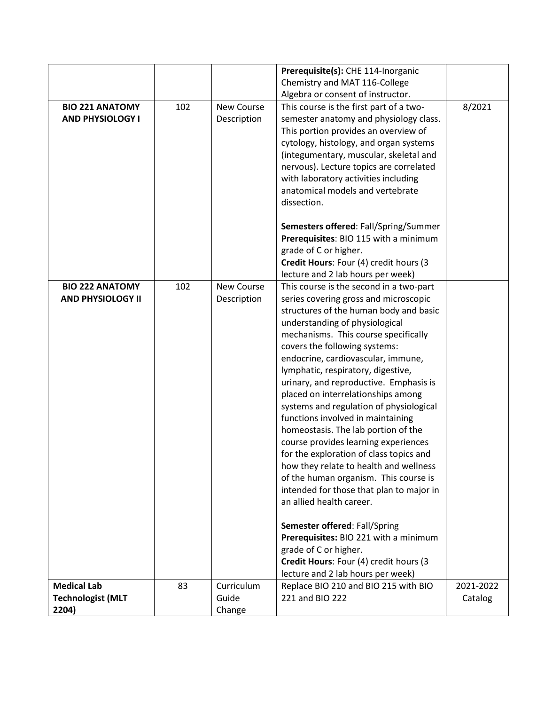|                                                    |     |                   | Prerequisite(s): CHE 114-Inorganic                                               |           |
|----------------------------------------------------|-----|-------------------|----------------------------------------------------------------------------------|-----------|
|                                                    |     |                   | Chemistry and MAT 116-College                                                    |           |
|                                                    |     |                   | Algebra or consent of instructor.                                                |           |
| <b>BIO 221 ANATOMY</b>                             | 102 | New Course        | This course is the first part of a two-                                          | 8/2021    |
| <b>AND PHYSIOLOGY I</b>                            |     | Description       | semester anatomy and physiology class.                                           |           |
|                                                    |     |                   | This portion provides an overview of                                             |           |
|                                                    |     |                   | cytology, histology, and organ systems                                           |           |
|                                                    |     |                   | (integumentary, muscular, skeletal and                                           |           |
|                                                    |     |                   | nervous). Lecture topics are correlated                                          |           |
|                                                    |     |                   | with laboratory activities including                                             |           |
|                                                    |     |                   | anatomical models and vertebrate                                                 |           |
|                                                    |     |                   | dissection.                                                                      |           |
|                                                    |     |                   |                                                                                  |           |
|                                                    |     |                   | Semesters offered: Fall/Spring/Summer                                            |           |
|                                                    |     |                   | Prerequisites: BIO 115 with a minimum                                            |           |
|                                                    |     |                   | grade of C or higher.                                                            |           |
|                                                    |     |                   | Credit Hours: Four (4) credit hours (3                                           |           |
|                                                    |     | <b>New Course</b> | lecture and 2 lab hours per week)                                                |           |
| <b>BIO 222 ANATOMY</b><br><b>AND PHYSIOLOGY II</b> | 102 |                   | This course is the second in a two-part<br>series covering gross and microscopic |           |
|                                                    |     | Description       | structures of the human body and basic                                           |           |
|                                                    |     |                   |                                                                                  |           |
|                                                    |     |                   | understanding of physiological                                                   |           |
|                                                    |     |                   | mechanisms. This course specifically                                             |           |
|                                                    |     |                   | covers the following systems:                                                    |           |
|                                                    |     |                   | endocrine, cardiovascular, immune,                                               |           |
|                                                    |     |                   | lymphatic, respiratory, digestive,                                               |           |
|                                                    |     |                   | urinary, and reproductive. Emphasis is                                           |           |
|                                                    |     |                   | placed on interrelationships among                                               |           |
|                                                    |     |                   | systems and regulation of physiological                                          |           |
|                                                    |     |                   | functions involved in maintaining                                                |           |
|                                                    |     |                   | homeostasis. The lab portion of the                                              |           |
|                                                    |     |                   | course provides learning experiences                                             |           |
|                                                    |     |                   | for the exploration of class topics and                                          |           |
|                                                    |     |                   | how they relate to health and wellness                                           |           |
|                                                    |     |                   | of the human organism. This course is                                            |           |
|                                                    |     |                   | intended for those that plan to major in                                         |           |
|                                                    |     |                   | an allied health career.                                                         |           |
|                                                    |     |                   | Semester offered: Fall/Spring                                                    |           |
|                                                    |     |                   | Prerequisites: BIO 221 with a minimum                                            |           |
|                                                    |     |                   | grade of C or higher.                                                            |           |
|                                                    |     |                   | Credit Hours: Four (4) credit hours (3                                           |           |
|                                                    |     |                   | lecture and 2 lab hours per week)                                                |           |
| <b>Medical Lab</b>                                 | 83  | Curriculum        | Replace BIO 210 and BIO 215 with BIO                                             | 2021-2022 |
| <b>Technologist (MLT</b>                           |     | Guide             | 221 and BIO 222                                                                  | Catalog   |
| 2204)                                              |     | Change            |                                                                                  |           |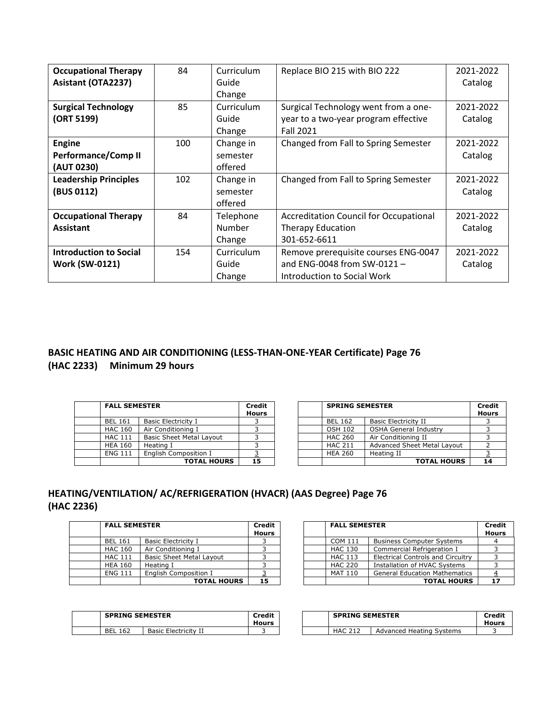| <b>Occupational Therapy</b><br>Asistant (OTA2237) | 84  | Curriculum<br>Guide | Replace BIO 215 with BIO 222                  | 2021-2022<br>Catalog |
|---------------------------------------------------|-----|---------------------|-----------------------------------------------|----------------------|
|                                                   |     | Change              |                                               |                      |
| <b>Surgical Technology</b>                        | 85  | Curriculum          | Surgical Technology went from a one-          | 2021-2022            |
| (ORT 5199)                                        |     | Guide               | year to a two-year program effective          | Catalog              |
|                                                   |     | Change              | <b>Fall 2021</b>                              |                      |
| <b>Engine</b>                                     | 100 | Change in           | Changed from Fall to Spring Semester          | 2021-2022            |
| <b>Performance/Comp II</b>                        |     | semester            |                                               | Catalog              |
| (AUT 0230)                                        |     | offered             |                                               |                      |
| <b>Leadership Principles</b>                      | 102 | Change in           | Changed from Fall to Spring Semester          | 2021-2022            |
| (BUS 0112)                                        |     | semester            |                                               | Catalog              |
|                                                   |     | offered             |                                               |                      |
| <b>Occupational Therapy</b>                       | 84  | Telephone           | <b>Accreditation Council for Occupational</b> | 2021-2022            |
| <b>Assistant</b>                                  |     | Number              | <b>Therapy Education</b>                      | Catalog              |
|                                                   |     | Change              | 301-652-6611                                  |                      |
| <b>Introduction to Social</b>                     | 154 | Curriculum          | Remove prerequisite courses ENG-0047          | 2021-2022            |
| <b>Work (SW-0121)</b>                             |     | Guide               | and ENG-0048 from SW-0121-                    | Catalog              |
|                                                   |     | Change              | Introduction to Social Work                   |                      |

# **BASIC HEATING AND AIR CONDITIONING (LESS-THAN-ONE-YEAR Certificate) Page 76 (HAC 2233) Minimum 29 hours**

| <b>FALL SEMESTER</b> |                                 | <b>Credit</b><br><b>Hours</b> |
|----------------------|---------------------------------|-------------------------------|
| <b>BEL 161</b>       | <b>Basic Electricity I</b>      |                               |
| <b>HAC 160</b>       | Air Conditioning I              |                               |
| <b>HAC 111</b>       | <b>Basic Sheet Metal Layout</b> |                               |
| <b>HEA 160</b>       | Heating I                       |                               |
| <b>ENG 111</b>       | <b>English Composition I</b>    |                               |
|                      | <b>TOTAL HOURS</b>              | 15                            |

| <b>FALL SEMESTER</b> |                                 | <b>Credit</b><br><b>Hours</b> |  |  | <b>SPRING SEMESTER</b> |                              |  |
|----------------------|---------------------------------|-------------------------------|--|--|------------------------|------------------------------|--|
| <b>BEL 161</b>       | <b>Basic Electricity I</b>      |                               |  |  | <b>BEL 162</b>         | <b>Basic Electricity II</b>  |  |
| <b>HAC 160</b>       | Air Conditioning I              |                               |  |  | <b>OSH 102</b>         | <b>OSHA General Industry</b> |  |
| <b>HAC 111</b>       | <b>Basic Sheet Metal Layout</b> |                               |  |  | <b>HAC 260</b>         | Air Conditioning II          |  |
| <b>HEA 160</b>       | Heating I                       |                               |  |  | <b>HAC 211</b>         | Advanced Sheet Metal Layout  |  |
| <b>ENG 111</b>       | English Composition I           |                               |  |  | <b>HEA 260</b>         | Heating II                   |  |
|                      | <b>TOTAL HOURS</b>              | 15                            |  |  |                        | <b>TOTAL HOURS</b>           |  |

# **HEATING/VENTILATION/ AC/REFRIGERATION (HVACR) (AAS Degree) Page 76 (HAC 2236)**

| <b>FALL SEMESTER</b> |                                 | Credit<br><b>Hours</b> |
|----------------------|---------------------------------|------------------------|
| <b>BEL 161</b>       | <b>Basic Electricity I</b>      |                        |
| <b>HAC 160</b>       | Air Conditioning I              |                        |
| <b>HAC 111</b>       | <b>Basic Sheet Metal Layout</b> |                        |
| <b>HEA 160</b>       | Heating I                       |                        |
| <b>ENG 111</b>       | English Composition I           |                        |
|                      | <b>TOTAL HOURS</b>              | 15                     |

| <b>FALL SEMESTER</b> |                          | <b>Credit</b><br><b>Hours</b> |  | <b>FALL SEMESTER</b> |                                          | <b>Credit</b><br><b>Hours</b> |
|----------------------|--------------------------|-------------------------------|--|----------------------|------------------------------------------|-------------------------------|
| <b>BEL 161</b>       | Basic Electricity I      |                               |  | COM 111              | <b>Business Computer Systems</b>         |                               |
| HAC 160              | Air Conditioning I       |                               |  | <b>HAC 130</b>       | Commercial Refrigeration I               |                               |
| <b>HAC 111</b>       | Basic Sheet Metal Layout |                               |  | <b>HAC 113</b>       | <b>Electrical Controls and Circuitry</b> |                               |
| <b>HEA 160</b>       | Heating I                |                               |  | <b>HAC 220</b>       | Installation of HVAC Systems             |                               |
| <b>ENG 111</b>       | English Composition I    |                               |  | MAT 110              | <b>General Education Mathematics</b>     |                               |
|                      | <b>TOTAL HOURS</b>       | 15                            |  |                      | <b>TOTAL HOURS</b>                       | 17                            |

| <b>SPRING SEMESTER</b><br>Credit<br>Hours |                             |  |  |
|-------------------------------------------|-----------------------------|--|--|
| <b>RFI 162</b>                            | <b>Basic Electricity II</b> |  |  |

| SPRING SEMESTER   |                      | Credit<br>Hours |  |  | Credit<br>Hours |                          |  |
|-------------------|----------------------|-----------------|--|--|-----------------|--------------------------|--|
| <b>BEL</b><br>162 | Basic Electricity II |                 |  |  | HAC             | Advanced Heating Systems |  |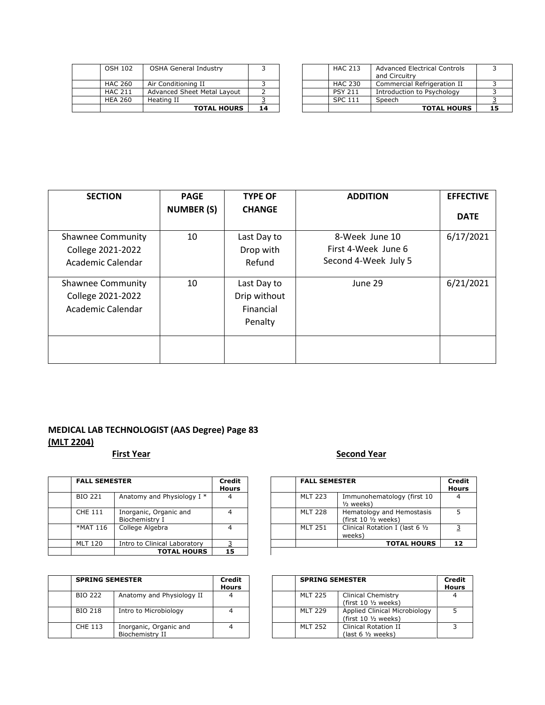|                | <b>TOTAL HOURS</b>           | 14 |  |                | <b>TOTAL HOUR</b>                                    |
|----------------|------------------------------|----|--|----------------|------------------------------------------------------|
| <b>HEA 260</b> | Heating II                   |    |  | <b>SPC 111</b> | Speech                                               |
| <b>HAC 211</b> | Advanced Sheet Metal Lavout  |    |  | <b>PSY 211</b> | Introduction to Psychology                           |
| <b>HAC 260</b> | Air Conditioning II          |    |  | HAC 230        | Commercial Refrigeration II                          |
| <b>OSH 102</b> | <b>OSHA General Industry</b> |    |  | <b>HAC 213</b> | <b>Advanced Electrical Controls</b><br>and Circuitry |

|                | <b>TOTAL HOURS</b>           | 14 |  |                | <b>TOTAL HOURS</b>           |  |
|----------------|------------------------------|----|--|----------------|------------------------------|--|
| <b>HEA 260</b> | Heating II                   |    |  | <b>SPC 111</b> | Speech                       |  |
| <b>HAC 211</b> | Advanced Sheet Metal Layout  |    |  | <b>PSY 211</b> | Introduction to Psychology   |  |
| HAC 260        | Air Conditioning II          |    |  | HAC 230        | Commercial Refrigeration II  |  |
|                |                              |    |  |                | and Circuitry                |  |
| OSH 102        | <b>OSHA General Industry</b> |    |  | <b>HAC 213</b> | Advanced Electrical Controls |  |
|                |                              |    |  |                |                              |  |

| <b>SECTION</b>           | <b>PAGE</b>       | <b>TYPE OF</b> | <b>ADDITION</b>      | <b>EFFECTIVE</b> |
|--------------------------|-------------------|----------------|----------------------|------------------|
|                          | <b>NUMBER (S)</b> | <b>CHANGE</b>  |                      | <b>DATE</b>      |
| <b>Shawnee Community</b> | 10                | Last Day to    | 8-Week June 10       | 6/17/2021        |
| College 2021-2022        |                   | Drop with      | First 4-Week June 6  |                  |
| Academic Calendar        |                   | Refund         | Second 4-Week July 5 |                  |
| <b>Shawnee Community</b> | 10                | Last Day to    | June 29              | 6/21/2021        |
| College 2021-2022        |                   | Drip without   |                      |                  |
| Academic Calendar        |                   | Financial      |                      |                  |
|                          |                   | Penalty        |                      |                  |
|                          |                   |                |                      |                  |

# **MEDICAL LAB TECHNOLOGIST (AAS Degree) Page 83 (MLT 2204)**

# **First Year Second Year**

| <b>FALL SEMESTER</b> | Credit<br><b>Hours</b>                   | <b>FALL SEMESTER</b> |                |                                                             |
|----------------------|------------------------------------------|----------------------|----------------|-------------------------------------------------------------|
| <b>BIO 221</b>       | Anatomy and Physiology I *               |                      | <b>MLT 223</b> | Immunohematology (first 10<br>$1/2$ weeks)                  |
| CHE 111              | Inorganic, Organic and<br>Biochemistry I |                      | <b>MLT 228</b> | Hematology and Hemostasis<br>(first $10 \frac{1}{2}$ weeks) |
| *MAT 116             | College Algebra                          |                      | <b>MLT 251</b> | Clinical Rotation I (last 6 1/2<br>weeks)                   |
| <b>MLT 120</b>       | Intro to Clinical Laboratory             |                      |                | <b>TOTAL HOURS</b>                                          |
|                      | <b>TOTAL HOURS</b>                       | 15                   |                |                                                             |

| <b>SPRING SEMESTER</b> |                                           | Credit<br><b>Hours</b> |  | <b>SPRING SEMESTER</b> |                                                                 |
|------------------------|-------------------------------------------|------------------------|--|------------------------|-----------------------------------------------------------------|
| <b>BIO 222</b>         | Anatomy and Physiology II                 |                        |  | <b>MLT 225</b>         | <b>Clinical Chemistry</b><br>(first $10 \frac{1}{2}$ weeks)     |
| <b>BIO 218</b>         | Intro to Microbiology                     |                        |  | <b>MLT 229</b>         | Applied Clinical Microbiology<br>(first $10 \frac{1}{2}$ weeks) |
| CHE 113                | Inorganic, Organic and<br>Biochemistry II |                        |  | <b>MLT 252</b>         | <b>Clinical Rotation II</b><br>$last 6 1/2 weeks)$              |

# **FALL SEMESTER**

| <b>FALL SEMESTER</b> |                                          | Credit<br><b>Hours</b> |  | <b>FALL SEMESTER</b> |                                                             | Credit<br><b>Hours</b> |
|----------------------|------------------------------------------|------------------------|--|----------------------|-------------------------------------------------------------|------------------------|
| BIO 221              | Anatomy and Physiology I *               | 4                      |  | <b>MLT 223</b>       | Immunohematology (first 10<br>$\frac{1}{2}$ weeks)          | 4                      |
| CHE 111              | Inorganic, Organic and<br>Biochemistry I |                        |  | <b>MLT 228</b>       | Hematology and Hemostasis<br>(first $10 \frac{1}{2}$ weeks) |                        |
| *MAT 116             | College Algebra                          | 4                      |  | <b>MLT 251</b>       | Clinical Rotation I (last 6 1/2<br>weeks)                   |                        |
| MLT 120              | Intro to Clinical Laboratory             |                        |  |                      | <b>TOTAL HOURS</b>                                          | 12                     |
|                      |                                          |                        |  |                      |                                                             |                        |

| edit<br>urs |  | <b>SPRING SEMESTER</b> |                                                                 | Credit<br><b>Hours</b> |
|-------------|--|------------------------|-----------------------------------------------------------------|------------------------|
| 4           |  | <b>MLT 225</b>         | <b>Clinical Chemistry</b><br>(first $10 \frac{1}{2}$ weeks)     |                        |
| 4           |  | <b>MLT 229</b>         | Applied Clinical Microbiology<br>(first $10 \frac{1}{2}$ weeks) |                        |
| 4           |  | <b>MLT 252</b>         | <b>Clinical Rotation II</b><br>$last 6 1/2 weeks)$              |                        |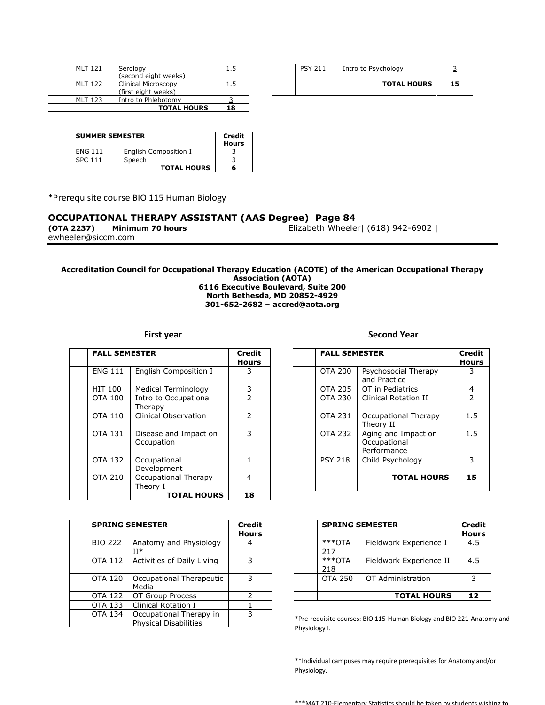| <b>MLT 121</b> | Serology<br>(second eight weeks)           |     |
|----------------|--------------------------------------------|-----|
| MIT 122        | Clinical Microscopy<br>(first eight weeks) | 1.5 |
| MIT 123        | Intro to Phlebotomy                        |     |
|                | <b>TOTAL HOURS</b>                         | 18  |

| 1.5 |  | <b>PSY 211</b> | Intro to Psychology |    |
|-----|--|----------------|---------------------|----|
| 1.5 |  |                | <b>TOTAL HOURS</b>  | 15 |

| <b>SUMMER SEMESTER</b> |                       | Credit<br><b>Hours</b> |
|------------------------|-----------------------|------------------------|
| <b>ENG 111</b>         | English Composition I |                        |
| SPC 111                | Speech                |                        |
|                        | <b>TOTAL HOURS</b>    | 6                      |

\*Prerequisite course BIO 115 Human Biology

#### **OCCUPATIONAL THERAPY ASSISTANT (AAS Degree) Page 84**

ewheeler@siccm.com

**(OTA 2237) Minimum 70 hours** Elizabeth Wheeler| (618) 942-6902 |

#### **Accreditation Council for Occupational Therapy Education (ACOTE) of the American Occupational Therapy Association (AOTA) 6116 Executive Boulevard, Suite 200 North Bethesda, MD 20852-4929 301-652-2682 – accred@aota.org**

| <b>FALL SEMESTER</b> |                                     | Credit<br><b>Hours</b> |  | <b>FALL SEMESTER</b> |                                                    |
|----------------------|-------------------------------------|------------------------|--|----------------------|----------------------------------------------------|
| <b>ENG 111</b>       | English Composition I               | 3                      |  | <b>OTA 200</b>       | Psychosocial Therapy<br>and Practice               |
| <b>HIT 100</b>       | Medical Terminology                 | 3                      |  | OTA 205              | OT in Pediatrics                                   |
| <b>OTA 100</b>       | Intro to Occupational<br>Therapy    | $\overline{2}$         |  | OTA 230              | <b>Clinical Rotation II</b>                        |
| OTA 110              | Clinical Observation                | $\mathcal{P}$          |  | <b>OTA 231</b>       | Occupational Therapy<br>Theory II                  |
| <b>OTA 131</b>       | Disease and Impact on<br>Occupation | 3                      |  | <b>OTA 232</b>       | Aging and Impact on<br>Occupational<br>Performance |
| <b>OTA 132</b>       | Occupational<br>Development         |                        |  | <b>PSY 218</b>       | Child Psychology                                   |
| <b>OTA 210</b>       | Occupational Therapy<br>Theory I    | 4                      |  |                      | <b>TOTAL HOUR</b>                                  |
|                      | <b>TOTAL HOURS</b>                  | 18                     |  |                      |                                                    |

| <b>SPRING SEMESTER</b> |                                                         | <b>Credit</b><br><b>Hours</b> |              | <b>SPRING</b>        |
|------------------------|---------------------------------------------------------|-------------------------------|--------------|----------------------|
| <b>BIO 222</b>         | Anatomy and Physiology<br>TT*                           |                               |              | ***OTA<br>217        |
| OTA 112                | Activities of Daily Living                              | 3                             |              | $***$ OTA<br>218     |
| <b>OTA 120</b>         | Occupational Therapeutic<br>Media                       | 3                             |              | <b>OTA 250</b>       |
| <b>OTA 122</b>         | OT Group Process                                        | 2                             |              |                      |
| OTA 133                | Clinical Rotation I                                     |                               |              |                      |
| OTA 134                | Occupational Therapy in<br><b>Physical Disabilities</b> | 3                             | Physiology I | *Pre-requisite cours |

#### **First year Second Year**

| <b>FALL SEMESTER</b> |                                     | <b>Credit</b><br><b>Hours</b> |  | <b>FALL SEMESTER</b> |                                                    | Credit<br><b>Hours</b> |
|----------------------|-------------------------------------|-------------------------------|--|----------------------|----------------------------------------------------|------------------------|
| <b>ENG 111</b>       | English Composition I               | 3                             |  | <b>OTA 200</b>       | Psychosocial Therapy<br>and Practice               | 3.                     |
| HIT 100              | <b>Medical Terminology</b>          | 3                             |  | <b>OTA 205</b>       | OT in Pediatrics                                   | 4                      |
| OTA 100              | Intro to Occupational<br>Therapy    | $\mathcal{P}$                 |  | OTA 230              | <b>Clinical Rotation II</b>                        | $\mathcal{P}$          |
| OTA 110              | Clinical Observation                | $\mathcal{P}$                 |  | <b>OTA 231</b>       | Occupational Therapy<br>Theory II                  | 1.5                    |
| OTA 131              | Disease and Impact on<br>Occupation | 3                             |  | OTA 232              | Aging and Impact on<br>Occupational<br>Performance | 1.5                    |
| OTA 132              | Occupational<br>Development         |                               |  | <b>PSY 218</b>       | Child Psychology                                   | 3                      |
| OTA 210              | Occupational Therapy<br>Theory I    | 4                             |  |                      | <b>TOTAL HOURS</b>                                 | 15                     |
|                      |                                     |                               |  |                      |                                                    |                        |

| <b>SPRING SEMESTER</b> |                                   | <b>Credit</b><br><b>Hours</b> |  | <b>SPRING SEMESTER</b> |                         | <b>Credit</b><br><b>Hours</b> |
|------------------------|-----------------------------------|-------------------------------|--|------------------------|-------------------------|-------------------------------|
| BIO 222                | Anatomy and Physiology<br>II*     |                               |  | $***$ OTA<br>217       | Fieldwork Experience I  | 4.5                           |
| OTA 112                | Activities of Daily Living        | 3                             |  | ***OTA<br>218          | Fieldwork Experience II | 4.5                           |
| OTA 120                | Occupational Therapeutic<br>Media | っ                             |  | OTA 250                | OT Administration       | ∍                             |
| OTA 122                | OT Group Process                  |                               |  |                        | <b>TOTAL HOURS</b>      | 12                            |
|                        |                                   |                               |  |                        |                         |                               |

\*Pre-requisite courses: BIO 115-Human Biology and BIO 221-Anatomy and Physiology I.

\*\*Individual campuses may require prerequisites for Anatomy and/or Physiology.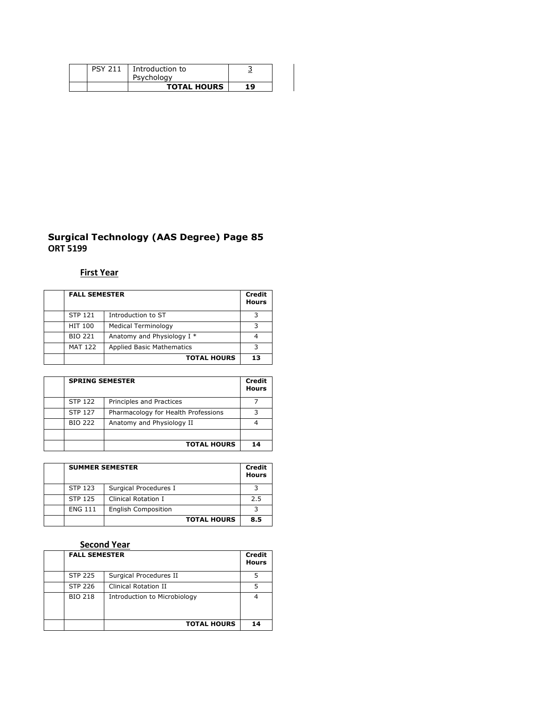| <b>PSY 211</b> | Introduction to<br>Psychology |    |
|----------------|-------------------------------|----|
|                | <b>TOTAL HOURS</b>            | 19 |

#### **Surgical Technology (AAS Degree) Page 85 ORT 5199**

# **First Year**

| <b>FALL SEMESTER</b> |                                  |    |
|----------------------|----------------------------------|----|
| <b>STP 121</b>       | Introduction to ST               | っ  |
| <b>HIT 100</b>       | Medical Terminology              |    |
| <b>BIO 221</b>       | Anatomy and Physiology I *       |    |
| <b>MAT 122</b>       | <b>Applied Basic Mathematics</b> | っ  |
|                      | <b>TOTAL HOURS</b>               | 13 |

| <b>SPRING SEMESTER</b> |                                     |    |
|------------------------|-------------------------------------|----|
| <b>STP 122</b>         | Principles and Practices            |    |
| <b>STP 127</b>         | Pharmacology for Health Professions |    |
| <b>BIO 222</b>         | Anatomy and Physiology II           |    |
|                        |                                     |    |
|                        | <b>TOTAL HOURS</b>                  | 14 |

| <b>SUMMER SEMESTER</b> |                            |     |  |
|------------------------|----------------------------|-----|--|
| <b>STP 123</b>         | Surgical Procedures I      |     |  |
| <b>STP 125</b>         | Clinical Rotation I        | 2.5 |  |
| <b>ENG 111</b>         | <b>English Composition</b> |     |  |
|                        | <b>TOTAL HOURS</b>         | 8.5 |  |

# **Second Year**

| <b>FALL SEMESTER</b> |                              | <b>Credit</b><br><b>Hours</b> |
|----------------------|------------------------------|-------------------------------|
| <b>STP 225</b>       | Surgical Procedures II       |                               |
| <b>STP 226</b>       | Clinical Rotation II         |                               |
| <b>BIO 218</b>       | Introduction to Microbiology |                               |
|                      | <b>TOTAL HOURS</b>           | 14                            |